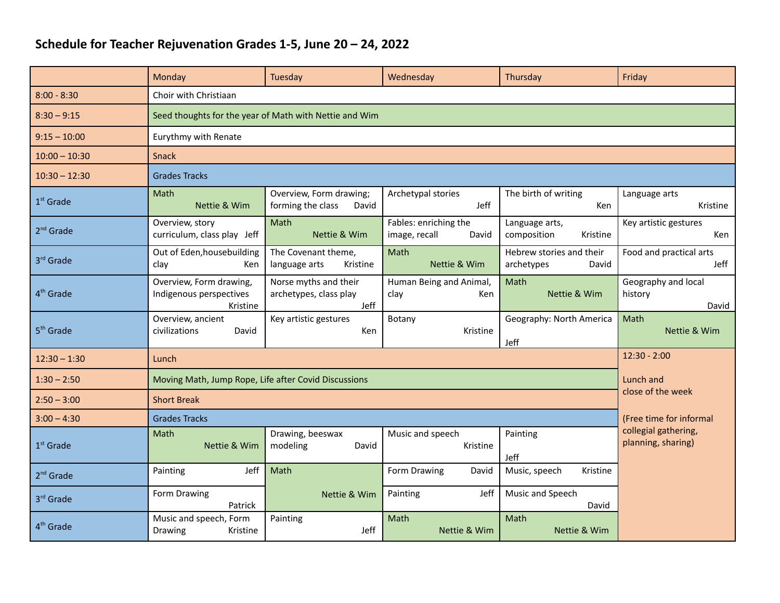## **Schedule for Teacher Rejuvenation Grades 1-5, June 20 – 24, 2022**

|                       | Monday                                                         | Tuesday                                                 | Wednesday                                       | Thursday                                        | Friday                                     |  |  |  |  |
|-----------------------|----------------------------------------------------------------|---------------------------------------------------------|-------------------------------------------------|-------------------------------------------------|--------------------------------------------|--|--|--|--|
| $8:00 - 8:30$         | Choir with Christiaan                                          |                                                         |                                                 |                                                 |                                            |  |  |  |  |
| $8:30 - 9:15$         | Seed thoughts for the year of Math with Nettie and Wim         |                                                         |                                                 |                                                 |                                            |  |  |  |  |
| $9:15 - 10:00$        | Eurythmy with Renate                                           |                                                         |                                                 |                                                 |                                            |  |  |  |  |
| $10:00 - 10:30$       | <b>Snack</b>                                                   |                                                         |                                                 |                                                 |                                            |  |  |  |  |
| $10:30 - 12:30$       | <b>Grades Tracks</b>                                           |                                                         |                                                 |                                                 |                                            |  |  |  |  |
| $1st$ Grade           | Math<br>Nettie & Wim                                           | Overview, Form drawing;<br>forming the class<br>David   | Archetypal stories<br>Jeff                      | The birth of writing<br>Ken                     | Language arts<br>Kristine                  |  |  |  |  |
| $2nd$ Grade           | Overview, story<br>curriculum, class play Jeff                 | Math<br>Nettie & Wim                                    | Fables: enriching the<br>image, recall<br>David | Language arts,<br>composition<br>Kristine       | Key artistic gestures<br>Ken               |  |  |  |  |
| 3rd Grade             | Out of Eden, housebuilding<br>clay<br>Ken                      | The Covenant theme,<br>language arts<br>Kristine        | Math<br>Nettie & Wim                            | Hebrew stories and their<br>archetypes<br>David | Food and practical arts<br>Jeff            |  |  |  |  |
| 4 <sup>th</sup> Grade | Overview, Form drawing,<br>Indigenous perspectives<br>Kristine | Norse myths and their<br>archetypes, class play<br>Jeff | Human Being and Animal,<br>clay<br>Ken          | Math<br>Nettie & Wim                            | Geography and local<br>history<br>David    |  |  |  |  |
| 5 <sup>th</sup> Grade | Overview, ancient<br>David<br>civilizations                    | Key artistic gestures<br>Ken                            | Botany<br>Kristine                              | Geography: North America<br>Jeff                | Math<br>Nettie & Wim                       |  |  |  |  |
| $12:30 - 1:30$        | Lunch                                                          | $12:30 - 2:00$                                          |                                                 |                                                 |                                            |  |  |  |  |
| $1:30 - 2:50$         | Moving Math, Jump Rope, Life after Covid Discussions           | Lunch and                                               |                                                 |                                                 |                                            |  |  |  |  |
| $2:50 - 3:00$         | <b>Short Break</b>                                             | close of the week                                       |                                                 |                                                 |                                            |  |  |  |  |
| $3:00 - 4:30$         | <b>Grades Tracks</b>                                           | (Free time for informal                                 |                                                 |                                                 |                                            |  |  |  |  |
| $1st$ Grade           | Math<br>Nettie & Wim                                           | Drawing, beeswax<br>modeling<br>David                   | Music and speech<br>Kristine                    | Painting<br>Jeff                                | collegial gathering,<br>planning, sharing) |  |  |  |  |
| $2nd$ Grade           | Jeff<br>Painting                                               | Math                                                    | Form Drawing<br>David                           | Music, speech<br>Kristine                       |                                            |  |  |  |  |
| 3rd Grade             | Form Drawing<br>Patrick                                        | Nettie & Wim                                            | Jeff<br>Painting                                | Music and Speech<br>David                       |                                            |  |  |  |  |
| 4 <sup>th</sup> Grade | Music and speech, Form<br>Drawing<br>Kristine                  | Painting<br>Jeff                                        | Math<br>Nettie & Wim                            | Math<br>Nettie & Wim                            |                                            |  |  |  |  |